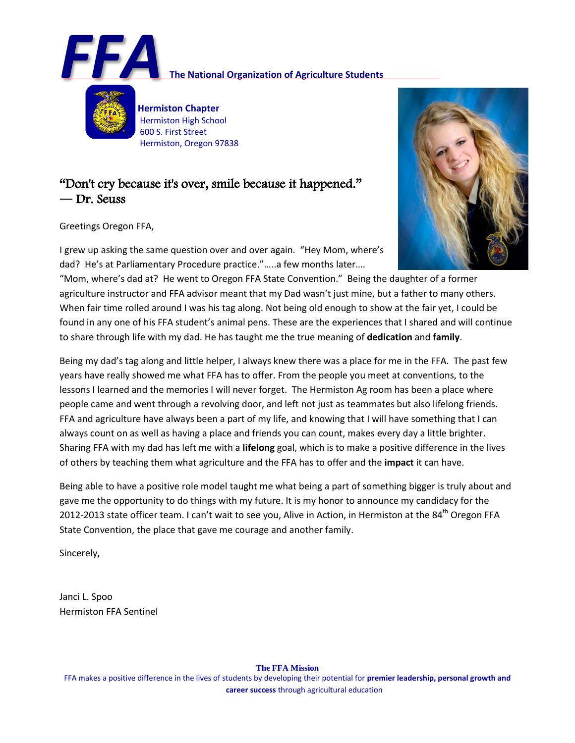

# **FA**<br>**FIA The National Organization of Agriculture Students**

 **Hermiston Chapter** Hermiston High School 600 S. First Street Hermiston, Oregon 97838

# "Don't cry because it's over, smile because it happened." **―** Dr. Seuss

Greetings Oregon FFA,

I grew up asking the same question over and over again. "Hey Mom, where's dad? He's at Parliamentary Procedure practice."…..a few months later….



"Mom, where's dad at? He went to Oregon FFA State Convention." Being the daughter of a former agriculture instructor and FFA advisor meant that my Dad wasn't just mine, but a father to many others. When fair time rolled around I was his tag along. Not being old enough to show at the fair yet, I could be found in any one of his FFA student's animal pens. These are the experiences that I shared and will continue to share through life with my dad. He has taught me the true meaning of **dedication** and **family**.

Being my dad's tag along and little helper, I always knew there was a place for me in the FFA. The past few years have really showed me what FFA has to offer. From the people you meet at conventions, to the lessons I learned and the memories I will never forget. The Hermiston Ag room has been a place where people came and went through a revolving door, and left not just as teammates but also lifelong friends. FFA and agriculture have always been a part of my life, and knowing that I will have something that I can always count on as well as having a place and friends you can count, makes every day a little brighter. Sharing FFA with my dad has left me with a **lifelong** goal, which is to make a positive difference in the lives of others by teaching them what agriculture and the FFA has to offer and the **impact** it can have.

Being able to have a positive role model taught me what being a part of something bigger is truly about and gave me the opportunity to do things with my future. It is my honor to announce my candidacy for the 2012-2013 state officer team. I can't wait to see you, Alive in Action, in Hermiston at the 84<sup>th</sup> Oregon FFA State Convention, the place that gave me courage and another family.

Sincerely,

Janci L. Spoo Hermiston FFA Sentinel